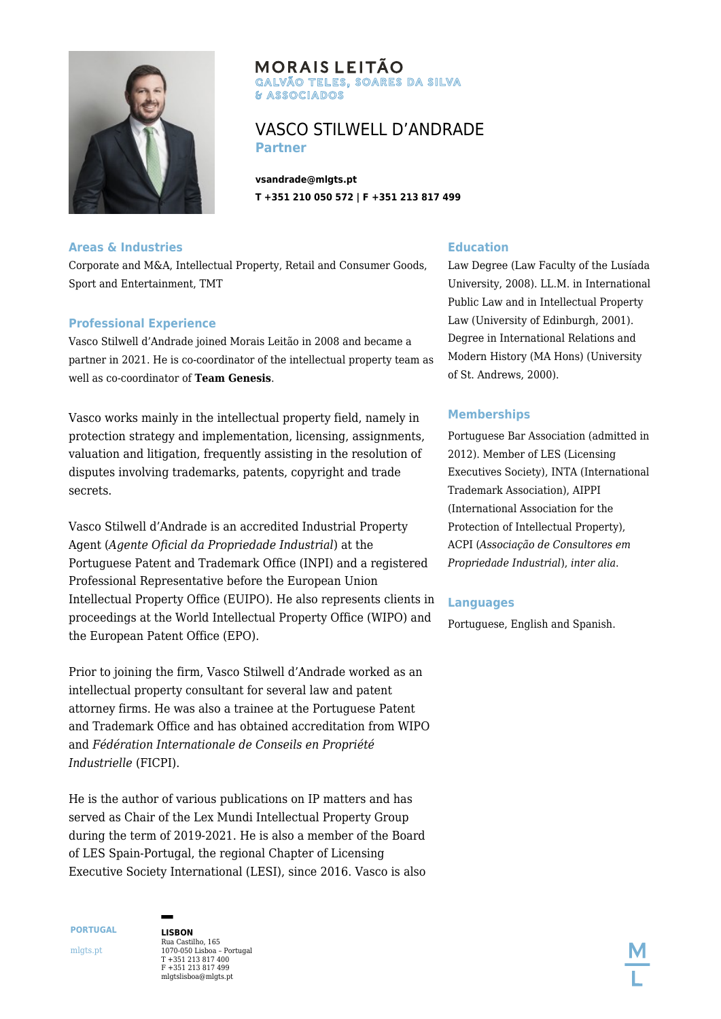

# **MORAIS LEITÃO** GALVÃO TELES, SOARES DA SILVA & ASSOCIADOS

# VASCO STILWELL D'ANDRADE **Partner**

**vsandrade@mlgts.pt T +351 210 050 572 | F +351 213 817 499**

## **Areas & Industries**

Corporate and M&A, Intellectual Property, Retail and Consumer Goods, Sport and Entertainment, TMT

#### **Professional Experience**

Vasco Stilwell d'Andrade joined Morais Leitão in 2008 and became a partner in 2021. He is co-coordinator of the intellectual property team as well as co-coordinator of **[Team Genesis](http://html2pdf.api.softway.pt/en/expertise/team-genesis/)**.

Vasco works mainly in the intellectual property field, namely in protection strategy and implementation, licensing, assignments, valuation and litigation, frequently assisting in the resolution of disputes involving trademarks, patents, copyright and trade secrets.

Vasco Stilwell d'Andrade is an accredited Industrial Property Agent (*Agente Oficial da Propriedade Industrial*) at the Portuguese Patent and Trademark Office (INPI) and a registered Professional Representative before the European Union Intellectual Property Office (EUIPO). He also represents clients in proceedings at the World Intellectual Property Office (WIPO) and the European Patent Office (EPO).

Prior to joining the firm, Vasco Stilwell d'Andrade worked as an intellectual property consultant for several law and patent attorney firms. He was also a trainee at the Portuguese Patent and Trademark Office and has obtained accreditation from WIPO and *Fédération Internationale de Conseils en Propriété Industrielle* (FICPI).

He is the author of various publications on IP matters and has served as Chair of the Lex Mundi Intellectual Property Group during the term of 2019-2021. He is also a member of the Board of LES Spain-Portugal, the regional Chapter of Licensing Executive Society International (LESI), since 2016. Vasco is also

## **Education**

Law Degree (Law Faculty of the Lusíada University, 2008). LL.M. in International Public Law and in Intellectual Property Law (University of Edinburgh, 2001). Degree in International Relations and Modern History (MA Hons) (University of St. Andrews, 2000).

#### **Memberships**

Portuguese Bar Association (admitted in 2012). Member of LES (Licensing Executives Society), INTA (International Trademark Association), AIPPI (International Association for the Protection of Intellectual Property), ACPI (*Associação de Consultores em Propriedade Industrial*), *inter alia*.

#### **Languages**

Portuguese, English and Spanish.

**PORTUGAL** mlgts.pt

Rua Castilho, 165 1070-050 Lisboa – Portugal T +351 213 817 400 F +351 213 817 499 mlgtslisboa@mlgts.pt

**LISBON**